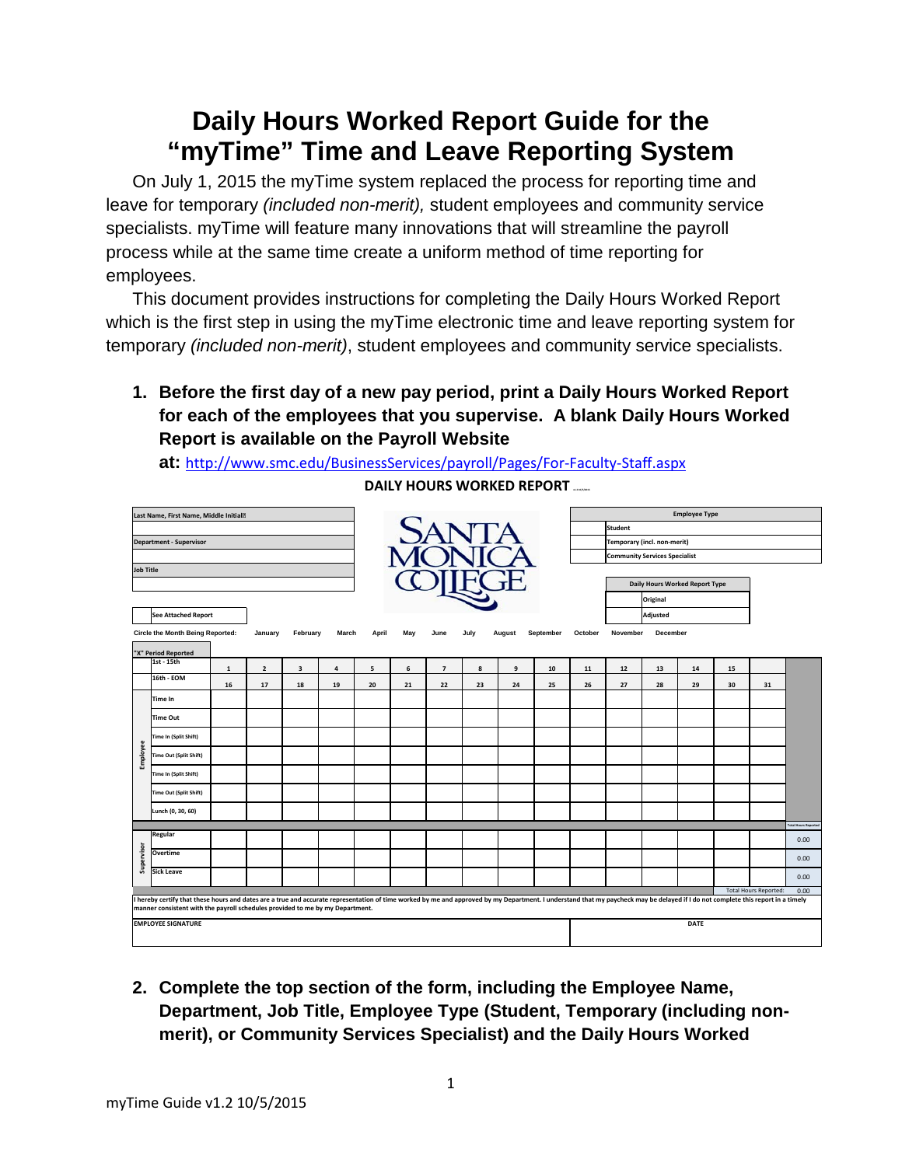## **Daily Hours Worked Report Guide for the "myTime" Time and Leave Reporting System**

On July 1, 2015 the myTime system replaced the process for reporting time and leave for temporary *(included non-merit),* student employees and community service specialists. myTime will feature many innovations that will streamline the payroll process while at the same time create a uniform method of time reporting for employees.

This document provides instructions for completing the Daily Hours Worked Report which is the first step in using the myTime electronic time and leave reporting system for temporary *(included non-merit)*, student employees and community service specialists.

**1. Before the first day of a new pay period, print a Daily Hours Worked Report for each of the employees that you supervise. A blank Daily Hours Worked Report is available on the Payroll Website** 

**at:** <http://www.smc.edu/BusinessServices/payroll/Pages/For-Faculty-Staff.aspx>

|                  | Last Name, First Name, Middle Initial <sup>®</sup>                                                                                                                                                                                                                     |    |                |                         |       |       |     |                |      |        |           |         | <b>Employee Type</b>                 |                 |                                |    |    |                            |  |  |  |  |  |  |  |  |  |
|------------------|------------------------------------------------------------------------------------------------------------------------------------------------------------------------------------------------------------------------------------------------------------------------|----|----------------|-------------------------|-------|-------|-----|----------------|------|--------|-----------|---------|--------------------------------------|-----------------|--------------------------------|----|----|----------------------------|--|--|--|--|--|--|--|--|--|
|                  |                                                                                                                                                                                                                                                                        |    |                |                         |       | SANTA |     |                |      |        |           |         | <b>Student</b>                       |                 |                                |    |    |                            |  |  |  |  |  |  |  |  |  |
|                  | <b>Department - Supervisor</b>                                                                                                                                                                                                                                         |    |                |                         |       |       |     |                |      |        |           |         | Temporary (incl. non-merit)          |                 |                                |    |    |                            |  |  |  |  |  |  |  |  |  |
|                  |                                                                                                                                                                                                                                                                        |    |                |                         |       |       |     |                |      |        |           |         | <b>Community Services Specialist</b> |                 |                                |    |    |                            |  |  |  |  |  |  |  |  |  |
| <b>Job Title</b> |                                                                                                                                                                                                                                                                        |    |                |                         |       |       |     |                |      |        |           |         |                                      |                 |                                |    |    |                            |  |  |  |  |  |  |  |  |  |
|                  |                                                                                                                                                                                                                                                                        |    |                |                         |       |       |     |                |      |        |           |         |                                      |                 | Daily Hours Worked Report Type |    |    |                            |  |  |  |  |  |  |  |  |  |
|                  |                                                                                                                                                                                                                                                                        |    |                |                         |       |       |     |                |      |        |           |         |                                      | Original        |                                |    |    |                            |  |  |  |  |  |  |  |  |  |
|                  | <b>See Attached Report</b>                                                                                                                                                                                                                                             |    |                |                         |       |       |     |                |      |        |           |         |                                      | Adjusted        |                                |    |    |                            |  |  |  |  |  |  |  |  |  |
|                  | <b>Circle the Month Being Reported:</b>                                                                                                                                                                                                                                |    | January        | February                | March | April | May | June           | July | August | September | October | November                             | <b>December</b> |                                |    |    |                            |  |  |  |  |  |  |  |  |  |
|                  | "X" Period Reported                                                                                                                                                                                                                                                    |    |                |                         |       |       |     |                |      |        |           |         |                                      |                 |                                |    |    |                            |  |  |  |  |  |  |  |  |  |
|                  | 1st - 15th                                                                                                                                                                                                                                                             | 1  | $\overline{2}$ | $\overline{\mathbf{3}}$ | 4     | 5     | 6   | $\overline{7}$ | 8    | 9      | 10        | 11      | 12                                   | 13              | 14                             | 15 |    |                            |  |  |  |  |  |  |  |  |  |
|                  | 16th - EOM                                                                                                                                                                                                                                                             | 16 | 17             | 18                      | 19    | 20    | 21  | 22             | 23   | 24     | 25        | 26      | 27                                   | 28              | 29                             | 30 | 31 |                            |  |  |  |  |  |  |  |  |  |
|                  | Time In                                                                                                                                                                                                                                                                |    |                |                         |       |       |     |                |      |        |           |         |                                      |                 |                                |    |    |                            |  |  |  |  |  |  |  |  |  |
|                  | <b>Time Out</b>                                                                                                                                                                                                                                                        |    |                |                         |       |       |     |                |      |        |           |         |                                      |                 |                                |    |    |                            |  |  |  |  |  |  |  |  |  |
|                  | Time In (Split Shift)                                                                                                                                                                                                                                                  |    |                |                         |       |       |     |                |      |        |           |         |                                      |                 |                                |    |    |                            |  |  |  |  |  |  |  |  |  |
| Employee         | <b>Time Out (Split Shift)</b>                                                                                                                                                                                                                                          |    |                |                         |       |       |     |                |      |        |           |         |                                      |                 |                                |    |    |                            |  |  |  |  |  |  |  |  |  |
|                  | Time In (Split Shift)                                                                                                                                                                                                                                                  |    |                |                         |       |       |     |                |      |        |           |         |                                      |                 |                                |    |    |                            |  |  |  |  |  |  |  |  |  |
|                  | <b>Time Out (Split Shift)</b>                                                                                                                                                                                                                                          |    |                |                         |       |       |     |                |      |        |           |         |                                      |                 |                                |    |    |                            |  |  |  |  |  |  |  |  |  |
|                  | Lunch (0, 30, 60)                                                                                                                                                                                                                                                      |    |                |                         |       |       |     |                |      |        |           |         |                                      |                 |                                |    |    |                            |  |  |  |  |  |  |  |  |  |
|                  | Regular                                                                                                                                                                                                                                                                |    |                |                         |       |       |     |                |      |        |           |         |                                      |                 |                                |    |    | <b>Total Hours Reporte</b> |  |  |  |  |  |  |  |  |  |
|                  |                                                                                                                                                                                                                                                                        |    |                |                         |       |       |     |                |      |        |           |         |                                      |                 |                                |    |    | 0.00                       |  |  |  |  |  |  |  |  |  |
| Supervisor       | Overtime                                                                                                                                                                                                                                                               |    |                |                         |       |       |     |                |      |        |           |         |                                      |                 |                                |    |    | 0.00                       |  |  |  |  |  |  |  |  |  |
|                  | <b>Sick Leave</b>                                                                                                                                                                                                                                                      |    |                |                         |       |       |     |                |      |        |           |         |                                      |                 |                                |    |    | 0.00                       |  |  |  |  |  |  |  |  |  |
|                  | 0.00<br><b>Total Hours Reported:</b><br>I hereby certify that these hours and dates are a true and accurate representation of time worked by me and approved by my Department. I understand that my paycheck may be delayed if I do not complete this report in a time |    |                |                         |       |       |     |                |      |        |           |         |                                      |                 |                                |    |    |                            |  |  |  |  |  |  |  |  |  |
|                  | manner consistent with the payroll schedules provided to me by my Department.                                                                                                                                                                                          |    |                |                         |       |       |     |                |      |        |           |         |                                      |                 |                                |    |    |                            |  |  |  |  |  |  |  |  |  |
|                  | <b>EMPLOYEE SIGNATURE</b>                                                                                                                                                                                                                                              |    |                |                         |       |       |     |                |      |        |           |         |                                      |                 | DATE                           |    |    |                            |  |  |  |  |  |  |  |  |  |
|                  |                                                                                                                                                                                                                                                                        |    |                |                         |       |       |     |                |      |        |           |         |                                      |                 |                                |    |    |                            |  |  |  |  |  |  |  |  |  |

**DAILY HOURS WORKED REPORT .......** 

**2. Complete the top section of the form, including the Employee Name, Department, Job Title, Employee Type (Student, Temporary (including nonmerit), or Community Services Specialist) and the Daily Hours Worked**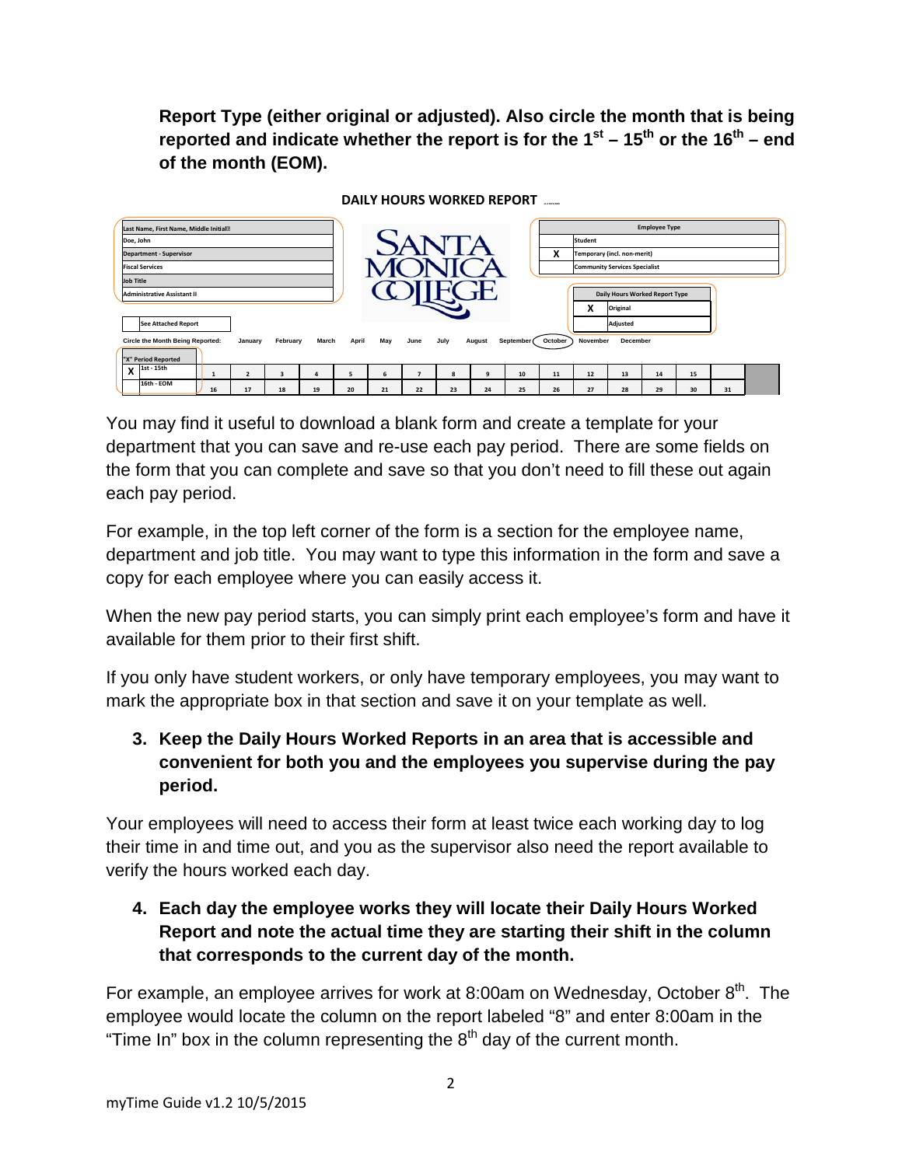**Report Type (either original or adjusted). Also circle the month that is being reported and indicate whether the report is for the**  $1^{st}$  **–**  $15^{th}$  **or the**  $16^{th}$  **– end of the month (EOM).** 



You may find it useful to download a blank form and create a template for your department that you can save and re-use each pay period. There are some fields on the form that you can complete and save so that you don't need to fill these out again each pay period.

For example, in the top left corner of the form is a section for the employee name, department and job title. You may want to type this information in the form and save a copy for each employee where you can easily access it.

When the new pay period starts, you can simply print each employee's form and have it available for them prior to their first shift.

If you only have student workers, or only have temporary employees, you may want to mark the appropriate box in that section and save it on your template as well.

## **3. Keep the Daily Hours Worked Reports in an area that is accessible and convenient for both you and the employees you supervise during the pay period.**

Your employees will need to access their form at least twice each working day to log their time in and time out, and you as the supervisor also need the report available to verify the hours worked each day.

**4. Each day the employee works they will locate their Daily Hours Worked Report and note the actual time they are starting their shift in the column that corresponds to the current day of the month.** 

For example, an employee arrives for work at 8:00am on Wednesday, October  $8<sup>th</sup>$ . The employee would locate the column on the report labeled "8" and enter 8:00am in the "Time In" box in the column representing the  $8<sup>th</sup>$  day of the current month.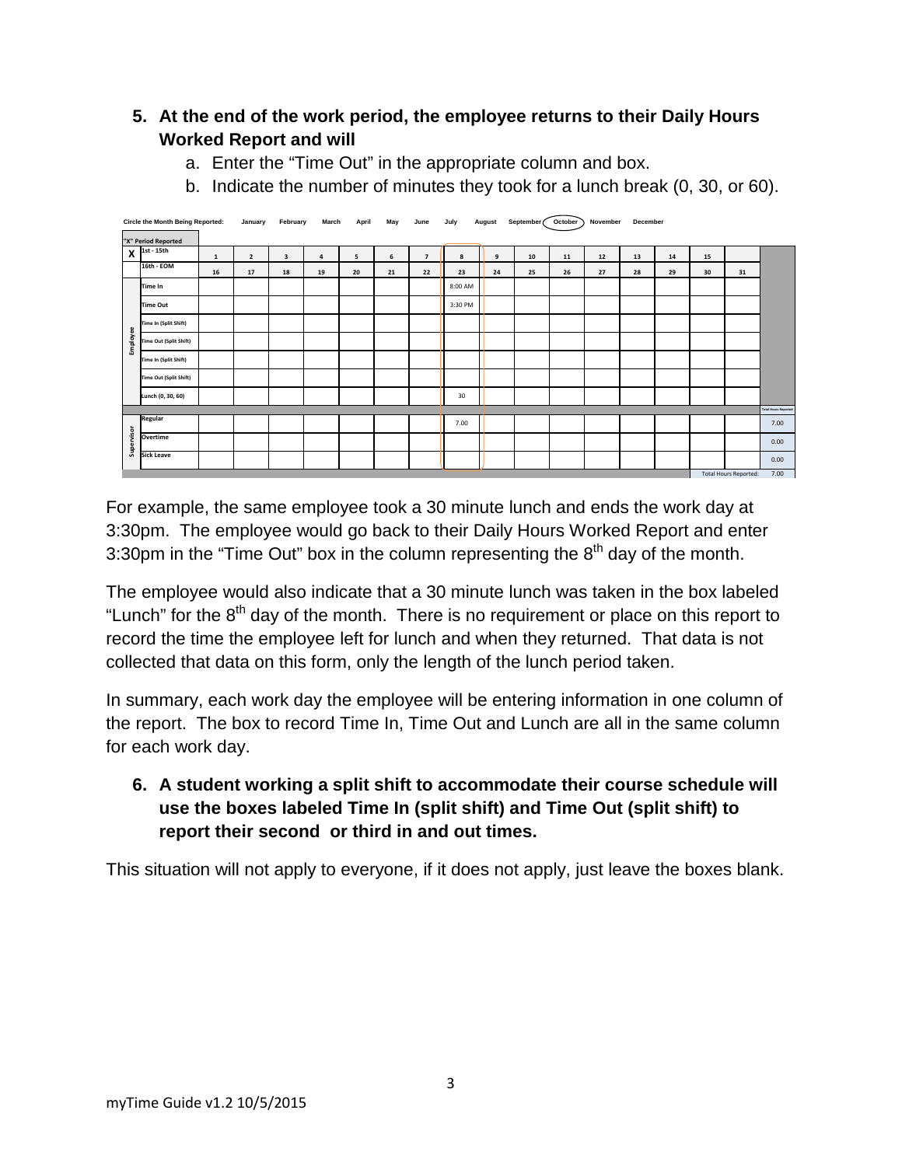## **5. At the end of the work period, the employee returns to their Daily Hours Worked Report and will**

- a. Enter the "Time Out" in the appropriate column and box.
- b. Indicate the number of minutes they took for a lunch break (0, 30, or 60).

|            | <b>Circle the Month Being Reported:</b> |              | January        | February | March          | April | May                          | June           | July    | August | September (October) |    | November | December |    |    |    |                             |
|------------|-----------------------------------------|--------------|----------------|----------|----------------|-------|------------------------------|----------------|---------|--------|---------------------|----|----------|----------|----|----|----|-----------------------------|
|            | "X" Period Reported                     |              |                |          |                |       |                              |                |         |        |                     |    |          |          |    |    |    |                             |
| X          | 1st - 15th                              | $\mathbf{1}$ | $\overline{2}$ | 3        | $\overline{a}$ | 5     | 6                            | $\overline{7}$ | 8       | 9      | 10                  | 11 | $12$     | 13       | 14 | 15 |    |                             |
|            | 16th - EOM                              | 16           | 17             | 18       | 19             | 20    | 21                           | 22             | 23      | 24     | 25                  | 26 | 27       | 28       | 29 | 30 | 31 |                             |
|            | Time In                                 |              |                |          |                |       |                              |                | 8:00 AM |        |                     |    |          |          |    |    |    |                             |
|            | Time Out                                |              |                |          |                |       |                              |                | 3:30 PM |        |                     |    |          |          |    |    |    |                             |
|            | Time In (Split Shift)                   |              |                |          |                |       |                              |                |         |        |                     |    |          |          |    |    |    |                             |
| Employee   | <b>Time Out (Split Shift)</b>           |              |                |          |                |       |                              |                |         |        |                     |    |          |          |    |    |    |                             |
|            | Time In (Split Shift)                   |              |                |          |                |       |                              |                |         |        |                     |    |          |          |    |    |    |                             |
|            | Time Out (Split Shift)                  |              |                |          |                |       |                              |                |         |        |                     |    |          |          |    |    |    |                             |
|            | Lunch (0, 30, 60)                       |              |                |          |                |       |                              |                | 30      |        |                     |    |          |          |    |    |    |                             |
|            |                                         |              |                |          |                |       |                              |                |         |        |                     |    |          |          |    |    |    | <b>Total Hours Reported</b> |
|            | Regular                                 |              |                |          |                |       |                              |                | 7.00    |        |                     |    |          |          |    |    |    | 7.00                        |
| Supervisor | Overtime                                |              |                |          |                |       |                              |                |         |        |                     |    |          |          |    |    |    | 0.00                        |
|            | <b>Sick Leave</b>                       |              |                |          |                |       |                              |                |         |        |                     |    |          |          |    |    |    | 0.00                        |
|            |                                         |              |                |          |                |       | <b>Total Hours Reported:</b> | 7.00           |         |        |                     |    |          |          |    |    |    |                             |

For example, the same employee took a 30 minute lunch and ends the work day at 3:30pm. The employee would go back to their Daily Hours Worked Report and enter 3:30pm in the "Time Out" box in the column representing the  $8<sup>th</sup>$  day of the month.

The employee would also indicate that a 30 minute lunch was taken in the box labeled "Lunch" for the  $8<sup>th</sup>$  day of the month. There is no requirement or place on this report to record the time the employee left for lunch and when they returned. That data is not collected that data on this form, only the length of the lunch period taken.

In summary, each work day the employee will be entering information in one column of the report. The box to record Time In, Time Out and Lunch are all in the same column for each work day.

**6. A student working a split shift to accommodate their course schedule will use the boxes labeled Time In (split shift) and Time Out (split shift) to report their second or third in and out times.**

This situation will not apply to everyone, if it does not apply, just leave the boxes blank.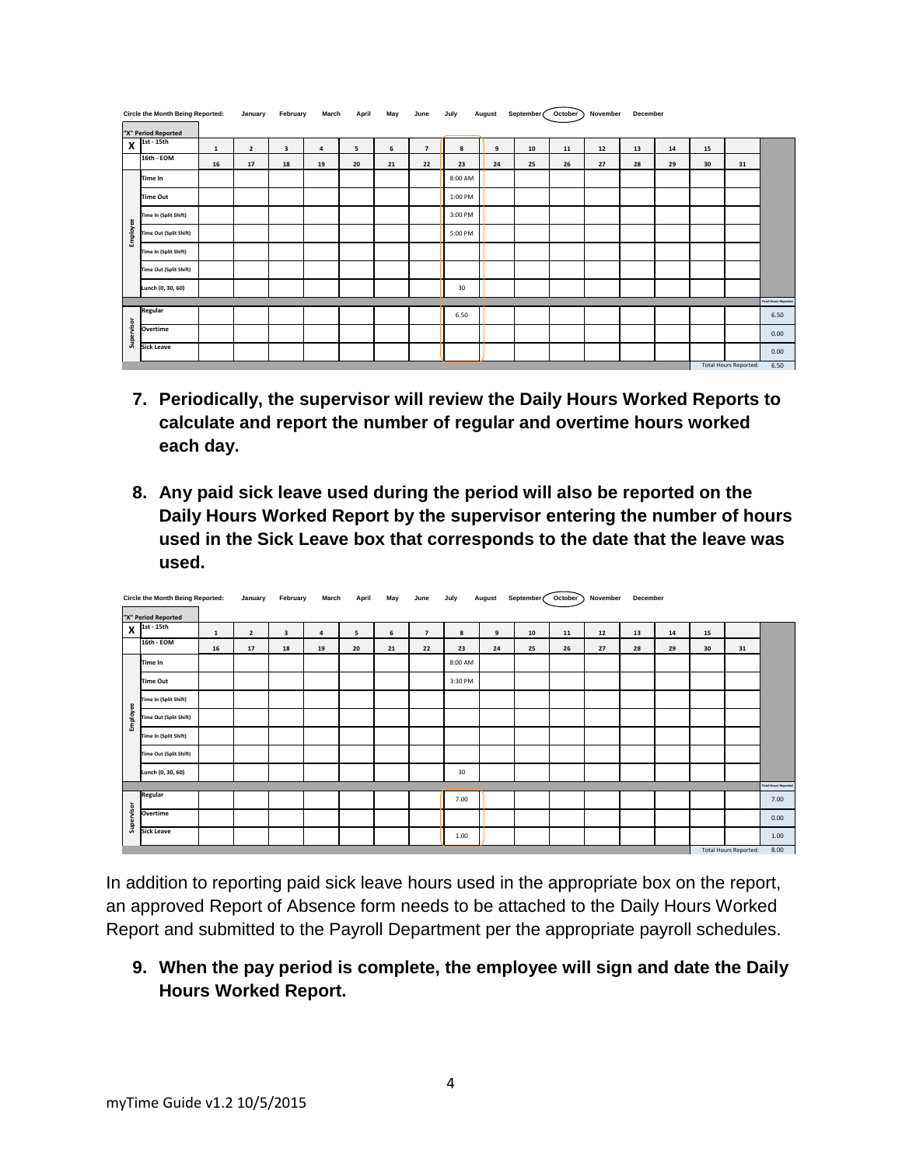| <b>Circle the Month Being Reported:</b> |                           |             | January        | February | March | April | May | June           | July    | August | September ( | October ) | November | December |    |    |                              |                             |
|-----------------------------------------|---------------------------|-------------|----------------|----------|-------|-------|-----|----------------|---------|--------|-------------|-----------|----------|----------|----|----|------------------------------|-----------------------------|
| "X" Period Reported                     |                           |             |                |          |       |       |     |                |         |        |             |           |          |          |    |    |                              |                             |
|                                         | $X$ <sup>1st - 15th</sup> | $\mathbf 1$ | $\overline{2}$ | 3        | 4     | 5     | 6   | $\overline{7}$ | 8       | 9      | 10          | 11        | 12       | 13       | 14 | 15 |                              |                             |
|                                         | 16th - EOM                | 16          | 17             | 18       | 19    | 20    | 21  | 22             | 23      | 24     | 25          | 26        | 27       | 28       | 29 | 30 | 31                           |                             |
|                                         | Time In                   |             |                |          |       |       |     |                | 8:00 AM |        |             |           |          |          |    |    |                              |                             |
|                                         | Time Out                  |             |                |          |       |       |     |                | 1:00 PM |        |             |           |          |          |    |    |                              |                             |
|                                         | Time In (Split Shift)     |             |                |          |       |       |     |                | 3:00 PM |        |             |           |          |          |    |    |                              |                             |
| Employee                                | Time Out (Split Shift)    |             |                |          |       |       |     |                | 5:00 PM |        |             |           |          |          |    |    |                              |                             |
|                                         | Time In (Split Shift)     |             |                |          |       |       |     |                |         |        |             |           |          |          |    |    |                              |                             |
|                                         | Time Out (Split Shift)    |             |                |          |       |       |     |                |         |        |             |           |          |          |    |    |                              |                             |
|                                         | Lunch (0, 30, 60)         |             |                |          |       |       |     |                | 30      |        |             |           |          |          |    |    |                              |                             |
|                                         |                           |             |                |          |       |       |     |                |         |        |             |           |          |          |    |    |                              | <b>Total Hours Reported</b> |
|                                         | Regular                   |             |                |          |       |       |     |                | 6.50    |        |             |           |          |          |    |    |                              | 6.50                        |
| Supervisor                              | Overtime                  |             |                |          |       |       |     |                |         |        |             |           |          |          |    |    |                              | 0.00                        |
|                                         | <b>Sick Leave</b>         |             |                |          |       |       |     |                |         |        |             |           |          |          |    |    |                              | 0.00                        |
|                                         |                           |             |                |          |       |       |     |                |         |        |             |           |          |          |    |    | <b>Total Hours Reported:</b> | 6.50                        |

- **7. Periodically, the supervisor will review the Daily Hours Worked Reports to calculate and report the number of regular and overtime hours worked each day.**
- **8. Any paid sick leave used during the period will also be reported on the Daily Hours Worked Report by the supervisor entering the number of hours used in the Sick Leave box that corresponds to the date that the leave was used.**

| Circle the Month Being Reported: |                               |             | January                 | February                | March | April | May | June           | July    | August | September (October) |    | November | December |    |    |                              |                             |
|----------------------------------|-------------------------------|-------------|-------------------------|-------------------------|-------|-------|-----|----------------|---------|--------|---------------------|----|----------|----------|----|----|------------------------------|-----------------------------|
|                                  | "X" Period Reported           |             |                         |                         |       |       |     |                |         |        |                     |    |          |          |    |    |                              |                             |
| X                                | 1st - 15th                    | $\mathbf 1$ | $\overline{\mathbf{2}}$ | $\overline{\mathbf{3}}$ | 4     | 5     | 6   | $\overline{7}$ | 8       | 9      | 10                  | 11 | 12       | 13       | 14 | 15 |                              |                             |
|                                  | 16th - EOM                    | 16          | 17                      | 18                      | 19    | 20    | 21  | 22             | 23      | 24     | 25                  | 26 | 27       | 28       | 29 | 30 | 31                           |                             |
|                                  | Time In                       |             |                         |                         |       |       |     |                | 8:00 AM |        |                     |    |          |          |    |    |                              |                             |
|                                  | <b>Time Out</b>               |             |                         |                         |       |       |     |                | 3:30 PM |        |                     |    |          |          |    |    |                              |                             |
|                                  | Time In (Split Shift)         |             |                         |                         |       |       |     |                |         |        |                     |    |          |          |    |    |                              |                             |
| Employee                         | <b>Time Out (Split Shift)</b> |             |                         |                         |       |       |     |                |         |        |                     |    |          |          |    |    |                              |                             |
|                                  | Time In (Split Shift)         |             |                         |                         |       |       |     |                |         |        |                     |    |          |          |    |    |                              |                             |
|                                  | Time Out (Split Shift)        |             |                         |                         |       |       |     |                |         |        |                     |    |          |          |    |    |                              |                             |
|                                  | Lunch (0, 30, 60)             |             |                         |                         |       |       |     |                | 30      |        |                     |    |          |          |    |    |                              |                             |
|                                  |                               |             |                         |                         |       |       |     |                |         |        |                     |    |          |          |    |    |                              | <b>Total Hours Reported</b> |
|                                  | Regular                       |             |                         |                         |       |       |     |                | 7.00    |        |                     |    |          |          |    |    |                              | 7.00                        |
| Supervisor                       | Overtime                      |             |                         |                         |       |       |     |                |         |        |                     |    |          |          |    |    |                              | 0.00                        |
|                                  | Sick Leave                    |             |                         |                         |       |       |     |                | 1.00    |        |                     |    |          |          |    |    |                              | 1.00                        |
|                                  |                               |             |                         |                         |       |       |     |                |         |        |                     |    |          |          |    |    | <b>Total Hours Reported:</b> | 8.00                        |

- In addition to reporting paid sick leave hours used in the appropriate box on the report, an approved Report of Absence form needs to be attached to the Daily Hours Worked Report and submitted to the Payroll Department per the appropriate payroll schedules.
	- **9. When the pay period is complete, the employee will sign and date the Daily Hours Worked Report.**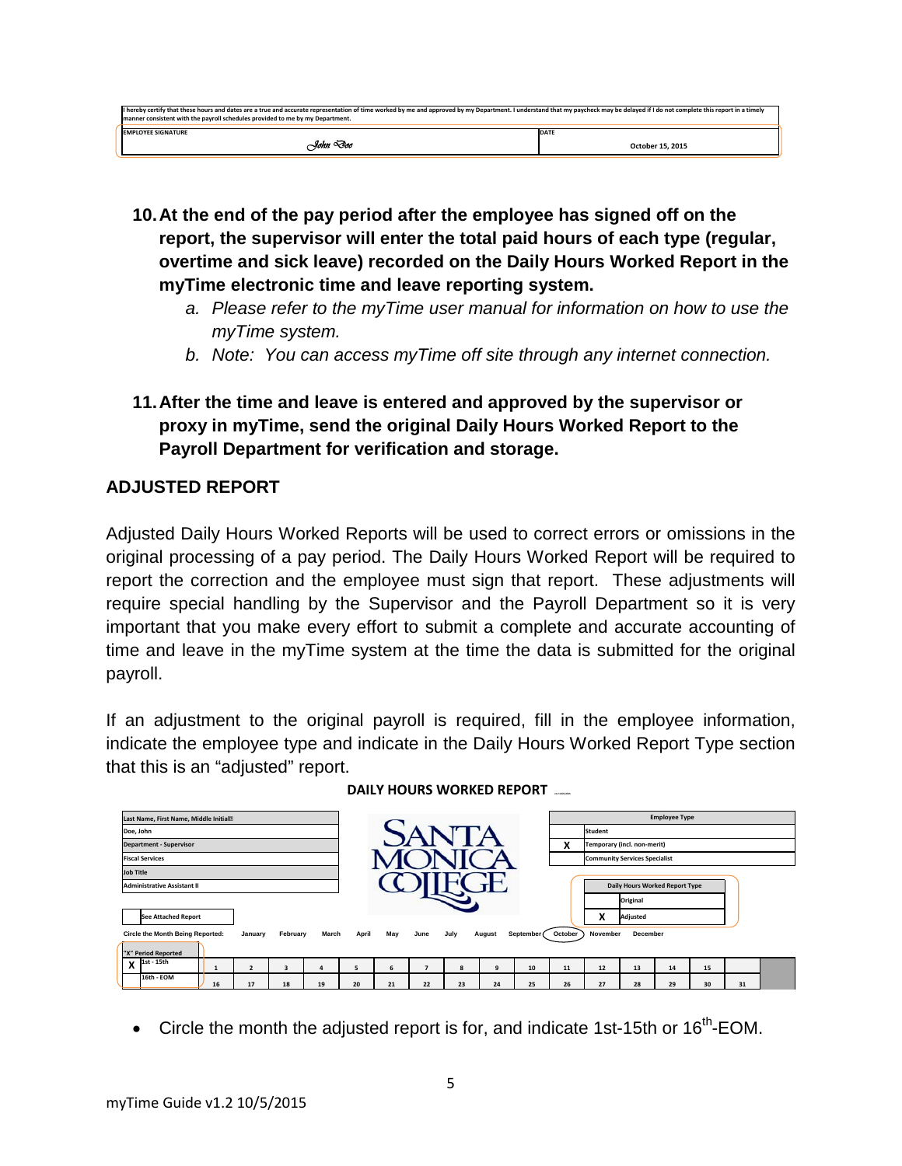| If hereby certify that these hours and dates are a true and accurate representation of time worked by me and approved by my Department. I understand that my paycheck may be delayed if I do not complete this report in a tim<br>manner consistent with the payroll schedules provided to me by my Department. |                  |
|-----------------------------------------------------------------------------------------------------------------------------------------------------------------------------------------------------------------------------------------------------------------------------------------------------------------|------------------|
| <b>EMPLOYEE SIGNATURE</b>                                                                                                                                                                                                                                                                                       | DATE             |
| -Yohn ''Ioc                                                                                                                                                                                                                                                                                                     | October 15, 2015 |
|                                                                                                                                                                                                                                                                                                                 |                  |

- **10.At the end of the pay period after the employee has signed off on the report, the supervisor will enter the total paid hours of each type (regular, overtime and sick leave) recorded on the Daily Hours Worked Report in the myTime electronic time and leave reporting system.** 
	- *a. Please refer to the myTime user manual for information on how to use the myTime system.*
	- *b. Note: You can access myTime off site through any internet connection.*
- **11.After the time and leave is entered and approved by the supervisor or proxy in myTime, send the original Daily Hours Worked Report to the Payroll Department for verification and storage.**

## **ADJUSTED REPORT**

Adjusted Daily Hours Worked Reports will be used to correct errors or omissions in the original processing of a pay period. The Daily Hours Worked Report will be required to report the correction and the employee must sign that report. These adjustments will require special handling by the Supervisor and the Payroll Department so it is very important that you make every effort to submit a complete and accurate accounting of time and leave in the myTime system at the time the data is submitted for the original payroll.

If an adjustment to the original payroll is required, fill in the employee information, indicate the employee type and indicate in the Daily Hours Worked Report Type section that this is an "adjusted" report.



**DAILY HOURS WORKED REPORT** 

Circle the month the adjusted report is for, and indicate 1st-15th or  $16<sup>th</sup>$ -EOM.